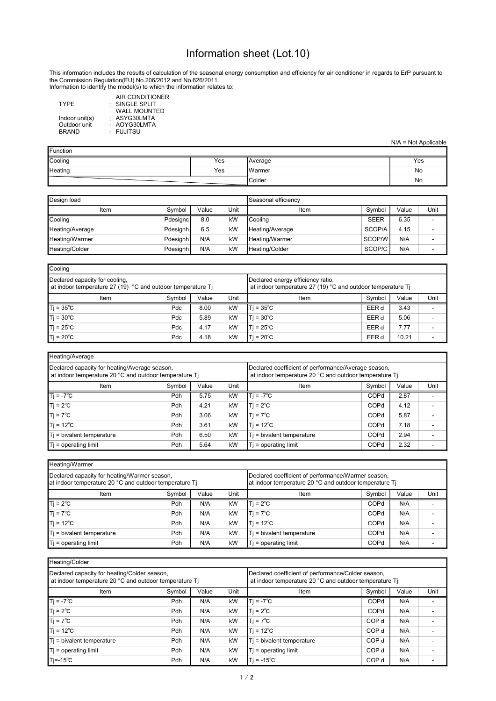## Information sheet (Lot.10)

Information to identify the model(s) to which the information relates to: This information includes the results of calculation of the seasonal energy consumption and efficiency for air conditioner in regards to ErP pursuant to the Commission Regulation(EU) No.206/2012 and No.626/2011.

|                | AIR CONDITIONER     |  |
|----------------|---------------------|--|
| <b>TYPE</b>    | SINGLE SPLIT        |  |
|                | <b>WALL MOUNTED</b> |  |
| Indoor unit(s) | : ASYG30LMTA        |  |
| Outdoor unit   | : AOYG30LMTA        |  |
| <b>BRAND</b>   | · FUJITSU           |  |
|                |                     |  |

|  | $N/A = Not Applicable$ |  |
|--|------------------------|--|

| <b>Function</b> |     |         |     |  |  |  |  |  |  |
|-----------------|-----|---------|-----|--|--|--|--|--|--|
| Cooling         | Yes | Average | Yes |  |  |  |  |  |  |
| Heating         | Yes | IWarmer | No  |  |  |  |  |  |  |
|                 |     | Colder  | No  |  |  |  |  |  |  |

| Design load     | Seasonal efficiency |       |      |                 |             |       |      |
|-----------------|---------------------|-------|------|-----------------|-------------|-------|------|
| Item            | Symbol              | Value | Unit | Item            | Symbol      | Value | Unit |
| Cooling         | <b>Pdesignc</b>     | 8.0   | kW   | l Coolina       | <b>SEER</b> | 6.35  |      |
| Heating/Average | <b>Pdesignh</b>     | 6.5   | kW   | Heating/Average | SCOP/A      | 4.15  |      |
| Heating/Warmer  | Pdesignh            | N/A   | kW   | Heating/Warmer  | SCOP/W      | N/A   |      |
| Heating/Colder  | Pdesignh            | N/A   | kW   | Heating/Colder  | SCOP/C      | N/A   |      |

| Cooling                                                                                       |                                                                                                  |        |       |                     |       |      |  |  |  |  |  |  |
|-----------------------------------------------------------------------------------------------|--------------------------------------------------------------------------------------------------|--------|-------|---------------------|-------|------|--|--|--|--|--|--|
| Declared capacity for cooling,<br>at indoor temperature 27 (19) °C and outdoor temperature Ti | Declared energy efficiency ratio,<br>at indoor temperature 27 (19) °C and outdoor temperature Ti |        |       |                     |       |      |  |  |  |  |  |  |
| Item                                                                                          | Item                                                                                             | Symbol | Value | Unit                |       |      |  |  |  |  |  |  |
| $Tj = 35^{\circ}C$                                                                            | <b>Pdc</b>                                                                                       | 8.00   | kW    | ITi = 35°C          | EER d | 3.43 |  |  |  |  |  |  |
| $Tj = 30^{\circ}C$                                                                            | Pdc                                                                                              | 5.89   | kW    | $ T  = 30^{\circ}C$ | EER d | 5.06 |  |  |  |  |  |  |
| $Tj = 25^{\circ}C$                                                                            | Pdc                                                                                              | 4.17   | kW    | Ti = 25℃            | EER d | 7.77 |  |  |  |  |  |  |
| $T$ j = 20 $^{\circ}$ C                                                                       | Ti = 20℃                                                                                         | EER d  | 10.21 |                     |       |      |  |  |  |  |  |  |

| Heating/Average                                                                                         |                                                                                                               |       |      |                           |        |       |      |  |  |  |  |  |  |
|---------------------------------------------------------------------------------------------------------|---------------------------------------------------------------------------------------------------------------|-------|------|---------------------------|--------|-------|------|--|--|--|--|--|--|
| Declared capacity for heating/Average season,<br>at indoor temperature 20 °C and outdoor temperature Ti | Declared coefficient of performance/Average season,<br>at indoor temperature 20 °C and outdoor temperature Ti |       |      |                           |        |       |      |  |  |  |  |  |  |
| Item                                                                                                    | Symbol                                                                                                        | Value | Unit | Item                      | Symbol | Value | Unit |  |  |  |  |  |  |
| $Ti = -7^{\circ}C$                                                                                      | <b>Pdh</b>                                                                                                    | 5.75  | kW   | Ti = -7°C                 | COPd   | 2.87  |      |  |  |  |  |  |  |
| $T$ j = 2 $^{\circ}$ C                                                                                  | Pdh                                                                                                           | 4.21  | kW   | $T = 2^{\circ}C$          | COPd   | 4.12  |      |  |  |  |  |  |  |
| $T$ j = 7 $^{\circ}$ C                                                                                  | Pdh                                                                                                           | 3.06  | kW   | $T = 7^{\circ}C$          | COPd   | 5.87  |      |  |  |  |  |  |  |
| $T$ j = 12 $^{\circ}$ C                                                                                 | Pdh                                                                                                           | 3.61  | kW   | Ti = 12℃                  | COPd   | 7.18  |      |  |  |  |  |  |  |
| Ti = bivalent temperature                                                                               | Pdh                                                                                                           | 6.50  | kW   | Ti = bivalent temperature | COPd   | 2.94  |      |  |  |  |  |  |  |
| $Ti =$ operating limit                                                                                  | Pdh                                                                                                           | 5.64  | kW   | $T$ i = operating limit   | COPd   | 2.32  |      |  |  |  |  |  |  |

| Heating/Warmer                                                                                         |                                                                                                              |       |      |                           |        |       |      |  |  |  |  |
|--------------------------------------------------------------------------------------------------------|--------------------------------------------------------------------------------------------------------------|-------|------|---------------------------|--------|-------|------|--|--|--|--|
| Declared capacity for heating/Warmer season,<br>at indoor temperature 20 °C and outdoor temperature Ti | Declared coefficient of performance/Warmer season,<br>at indoor temperature 20 °C and outdoor temperature Ti |       |      |                           |        |       |      |  |  |  |  |
| Item                                                                                                   | Symbol                                                                                                       | Value | Unit | Item                      | Symbol | Value | Unit |  |  |  |  |
| $Ti = 2^{\circ}C$                                                                                      | Pdh                                                                                                          | N/A   | kW   | $Ti = 2^{\circ}C$         | COPd   | N/A   |      |  |  |  |  |
| $Ti = 7^{\circ}C$                                                                                      | Pdh                                                                                                          | N/A   | kW   | $Ti = 7^{\circ}C$         | COPd   | N/A   |      |  |  |  |  |
| $T$ j = 12 $^{\circ}$ C                                                                                | Pdh                                                                                                          | N/A   | kW   | $1T = 12^{\circ}C$        | COPd   | N/A   |      |  |  |  |  |
| Ti = bivalent temperature                                                                              | Pdh                                                                                                          | N/A   | kW   | Ti = bivalent temperature | COPd   | N/A   |      |  |  |  |  |
| $T_i$ = operating limit                                                                                | Pdh                                                                                                          | N/A   | kW   | $Ti =$ operating limit    | COPd   | N/A   |      |  |  |  |  |

| Heating/Colder                                                                                         |                                                                                                              |       |      |                           |                  |       |      |  |  |  |  |  |
|--------------------------------------------------------------------------------------------------------|--------------------------------------------------------------------------------------------------------------|-------|------|---------------------------|------------------|-------|------|--|--|--|--|--|
| Declared capacity for heating/Colder season,<br>at indoor temperature 20 °C and outdoor temperature Ti | Declared coefficient of performance/Colder season,<br>at indoor temperature 20 °C and outdoor temperature Ti |       |      |                           |                  |       |      |  |  |  |  |  |
| Item                                                                                                   | Symbol                                                                                                       | Value | Unit | Item                      | Symbol           | Value | Unit |  |  |  |  |  |
| $T$ j = -7 <sup>°</sup> C                                                                              | Pdh                                                                                                          | N/A   | kW   | $Ti = -7^{\circ}C$        | COPd             | N/A   |      |  |  |  |  |  |
| $T_i = 2^{\circ}C$                                                                                     | Pdh                                                                                                          | N/A   | kW   | $T = 2^{\circ}C$          | COPd             | N/A   |      |  |  |  |  |  |
| $T$ j = 7 $^{\circ}$ C                                                                                 | Pdh                                                                                                          | N/A   | kW   | $T_i = 7^{\circ}C$        | COP <sub>d</sub> | N/A   |      |  |  |  |  |  |
| $T$ j = 12 $^{\circ}$ C                                                                                | Pdh                                                                                                          | N/A   | kW   | Ti = 12°C                 | COP <sub>d</sub> | N/A   |      |  |  |  |  |  |
| $T$ = bivalent temperature                                                                             | Pdh                                                                                                          | N/A   | kW   | Ti = bivalent temperature | COP <sub>d</sub> | N/A   |      |  |  |  |  |  |
| $T$ = operating limit                                                                                  | <b>Pdh</b>                                                                                                   | N/A   | kW   | $T$ = operating limit     | COP <sub>d</sub> | N/A   |      |  |  |  |  |  |
| $T = -15^{\circ}C$                                                                                     | Pdh                                                                                                          | N/A   | kW   | $ Ti = -15^{\circ}C$      | COP <sub>d</sub> | N/A   |      |  |  |  |  |  |